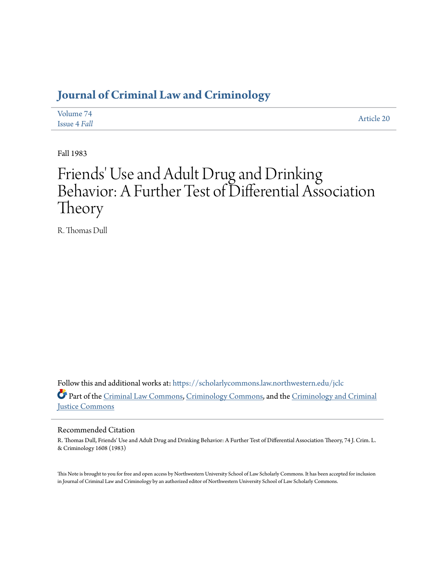# **[Journal of Criminal Law and Criminology](https://scholarlycommons.law.northwestern.edu/jclc?utm_source=scholarlycommons.law.northwestern.edu%2Fjclc%2Fvol74%2Fiss4%2F20&utm_medium=PDF&utm_campaign=PDFCoverPages)**

| Volume 74    | Article 20 |
|--------------|------------|
| Issue 4 Fall |            |

Fall 1983

# Friends' Use and Adult Drug and Drinking Behavior: A Further Test of Differential Association Theory

R. Thomas Dull

Follow this and additional works at: [https://scholarlycommons.law.northwestern.edu/jclc](https://scholarlycommons.law.northwestern.edu/jclc?utm_source=scholarlycommons.law.northwestern.edu%2Fjclc%2Fvol74%2Fiss4%2F20&utm_medium=PDF&utm_campaign=PDFCoverPages) Part of the [Criminal Law Commons](http://network.bepress.com/hgg/discipline/912?utm_source=scholarlycommons.law.northwestern.edu%2Fjclc%2Fvol74%2Fiss4%2F20&utm_medium=PDF&utm_campaign=PDFCoverPages), [Criminology Commons](http://network.bepress.com/hgg/discipline/417?utm_source=scholarlycommons.law.northwestern.edu%2Fjclc%2Fvol74%2Fiss4%2F20&utm_medium=PDF&utm_campaign=PDFCoverPages), and the [Criminology and Criminal](http://network.bepress.com/hgg/discipline/367?utm_source=scholarlycommons.law.northwestern.edu%2Fjclc%2Fvol74%2Fiss4%2F20&utm_medium=PDF&utm_campaign=PDFCoverPages) [Justice Commons](http://network.bepress.com/hgg/discipline/367?utm_source=scholarlycommons.law.northwestern.edu%2Fjclc%2Fvol74%2Fiss4%2F20&utm_medium=PDF&utm_campaign=PDFCoverPages)

## Recommended Citation

R. Thomas Dull, Friends' Use and Adult Drug and Drinking Behavior: A Further Test of Differential Association Theory, 74 J. Crim. L. & Criminology 1608 (1983)

This Note is brought to you for free and open access by Northwestern University School of Law Scholarly Commons. It has been accepted for inclusion in Journal of Criminal Law and Criminology by an authorized editor of Northwestern University School of Law Scholarly Commons.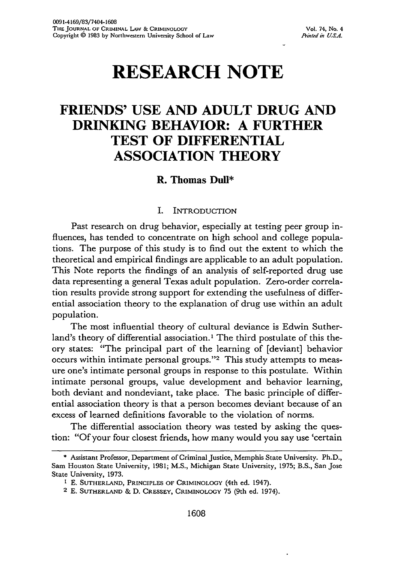# **RESEARCH NOTE**

# **FRIENDS' USE AND ADULT DRUG AND DRINKING BEHAVIOR: A FURTHER TEST OF DIFFERENTIAL ASSOCIATION THEORY**

# **R. Thomas Dull\***

## I. INTRODUCTION

Past research on drug behavior, especially at testing peer group influences, has tended to concentrate on high school and college populations. The purpose of this study is to find out the extent to which the theoretical and empirical findings are applicable to an adult population. This Note reports the findings of an analysis of self-reported drug use data representing a general Texas adult population. Zero-order correlation results provide strong support for extending the usefulness of differential association theory to the explanation of drug use within an adult population.

The most influential theory of cultural deviance is Edwin Sutherland's theory of differential association.<sup>1</sup> The third postulate of this theory states: "The principal part of the learning of [deviant] behavior occurs within intimate personal groups."<sup>2</sup> This study attempts to measure one's intimate personal groups in response to this postulate. Within intimate personal groups, value development and behavior learning, both deviant and nondeviant, take place. The basic principle of differential association theory is that a person becomes deviant because of an excess of learned definitions favorable to the violation of norms.

The differential association theory was tested by asking the question: "Of your four closest friends, how many would you say use 'certain

**<sup>\*</sup>** Assistant Professor, Department of Criminal Justice, Memphis State University. Ph.D., Sam Houston State University, **1981; M.S.,** Michigan State University, **1975;** B.S., San Jose State University, **1973.**

**<sup>1</sup> E. SUTHERLAND,** PRINCIPLES OF CRIMINOLOGY (4th ed. 1947).

<sup>2</sup> **E.** SUTHERLAND & D. CRESSEY, CRIMINOLOGY 75 (9th **ed.** 1974).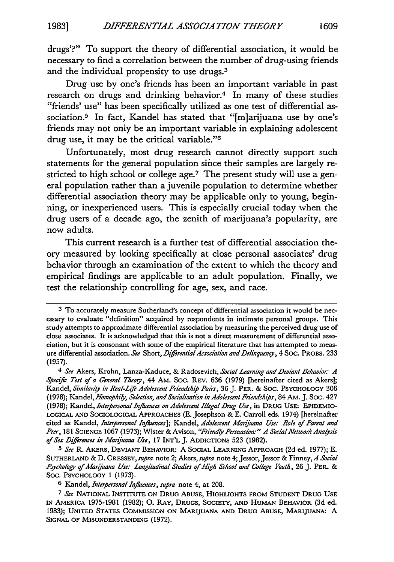drugs'?" To support the theory of differential association, it would be necessary to find a correlation between the number of drug-using friends and the individual propensity to use drugs.<sup>3</sup>

Drug use by one's friends has been an important variable in past research on drugs and drinking behavior.<sup>4</sup> In many of these studies "friends' use" has been specifically utilized as one test of differential association.5 In fact, Kandel has stated that "[m]arijuana use by one's friends may not only be an important variable in explaining adolescent drug use, it may be the critical variable."<sup>6</sup>

Unfortunately, most drug research cannot directly support such statements for the general population since their samples are largely restricted to high school or college age.<sup>7</sup> The present study will use a general population rather than a juvenile population to determine whether differential association theory may be applicable only to young, beginning, or inexperienced users. This is especially crucial today when the drug users of a decade ago, the zenith of marijuana's popularity, are now adults.

This current research is a further test of differential association theory measured by looking specifically at close personal associates' drug behavior through an examination of the extent to which the theory and empirical findings are applicable to an adult population. Finally, we test the relationship controlling for age, sex, and race.

**<sup>3</sup>** To accurately measure Sutherland's concept of differential association it would be necessary to evaluate "definition" acquired **by** respondents in intimate personal groups. This study attempts to approximate differential association **by** measuring the perceived drug use of close **associates.** It is acknowledged that this is not a direct measurement of differential association, but it is consonant with some of the empirical literature that has attempted to measure differential association. *See* Short, *Diferential Association andDelinqueny,* 4 Soc. PROBS. **233 (1957).**

*<sup>4</sup> See* Akers, Krohn, Lanza-Kaduce, & Radosevich, *Social Learning and Deviant Behavior: A* Specific Test of a General Theory, 44 AM. SOC. REV. 636 (1979) [hereinafter cited as Akers]; Kandel, Similarity in Real-Life Adolescent Friendship Pairs, 36 J. PER. & Soc. PsycHOLOGY 306 (1978); Kandel, *Homophily, Selection, and Socialization in Adolescent Friendships*, 84 AM. J. SOC. 427 (1978); Kandel, *Interpersonal Inthences on Adolescent Illegal Diug Use,* in **DRUG USE:** EPIDEMIO-**LOGICAL AND** SOCIOLOGICAL APPROACHES (E. Josephson **& E.** Carroll eds. 1974) [hereinafter cited as Kandel, *Interpersonal Inltences];* Kandel, *Adolescent Marjuana Use: Role of Parent and Peer,* 181 **SCIENCE** 1067 (1973); Wister &Avison, *"Friendly Persuasion:" A Social Network Analysis of Sex Diferences in Marjuana Use,* **17** INT'L J. ADDICTIONS 523 (1982).

**<sup>5</sup>** *See* R. AKERS, DEVIANT BEHAVIOR: A **SOCIAL** LEARNING APPROACH (2d ed. 1977); E. **SUTHERLAND** & D. CRESSEY, *supra* note 2; Akers, *supra* note 4; Jessor, Jessor & Finney, *A Social Psychology of Mar)'uana Use: Longitudinal Studies of High School and College Youth,* 26 J. PER. & SOC. PSYCHOLOGY 1 (1973).

**<sup>6</sup>** Kandel, *Interpersonal Inflences, supra* note 4, at 208.

*<sup>7</sup> See* NATIONAL **INSTITUTE ON DRUG ABUSE, HIGHLIGHTS** FROM **STUDENT DRUG USE IN** AMERICA 1975-1981 **(1982); 0. RAY, DRUGS,** SOCIETY, **AND HUMAN** BEHAVIOR **(3d** ed. 1983); **UNITED STATES COMMISSION ON MARIJUANA AND DRUG ABUSE, MARUUANA:** A **SIGNAL** OF **MISUNDERSTANDING** (1972).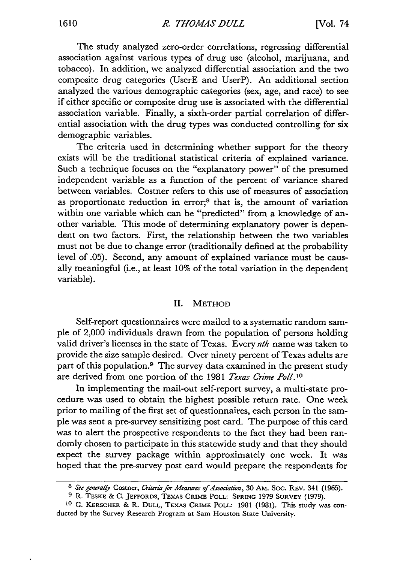The study analyzed zero-order correlations, regressing differential association against various types of drug use (alcohol, marijuana, and tobacco). In addition, we analyzed differential association and the two composite drug categories (UserE and UserP). An additional section analyzed the various demographic categories (sex, age, and race) to see if either specific or composite drug use is associated with the differential association variable. Finally, a sixth-order partial correlation of differential association with the drug types was conducted controlling for six demographic variables.

The criteria used in determining whether support for the theory exists will be the traditional statistical criteria of explained variance. Such a technique focuses on the "explanatory power" of the presumed independent variable as a function of the percent of variance shared between variables. Costner refers to this use of measures of association as proportionate reduction in error;8 that is, the amount of variation within one variable which can be "predicted" from a knowledge of another variable. This mode of determining explanatory power is dependent on two factors. First, the relationship between the two variables must not be due to change error (traditionally defined at the probability level of .05). Second, any amount of explained variance must be causally meaningful (i.e., at least 10% of the total variation in the dependent variable).

#### II. METHOD

Self-report questionnaires were mailed to a systematic random sample of 2,000 individuals drawn from the population of persons holding valid driver's licenses in the state of Texas. Every *nth* name was taken to provide the size sample desired. Over ninety percent of Texas adults are part of this population.<sup>9</sup> The survey data examined in the present study are derived from one portion of the 1981 *Texas Crime Poll.10*

In implementing the mail-out self-report survey, a multi-state procedure was used to obtain the highest possible return rate. One week prior to mailing of the first set of questionnaires, each person in the sample was sent a pre-survey sensitizing post card. The purpose of this card was to alert the prospective respondents to the fact they had been randomly chosen to participate in this statewide study and that they should expect the survey package within approximately one week. It was hoped that the pre-survey post card would prepare the respondents for

*<sup>8</sup> See generally* Costner, *Criteria for Measures of Association,* **30** AM. Soc. **REV.** 341 (1965).

**<sup>9</sup>** R. TESKE & C. **JEFFORDS,** TExAs **CRIME** POLL: SPRING 1979 SURVEY (1979).

<sup>10</sup> G. KERSCHER & R. DULL, TEXAS CRIME POLL: 1981 (1981). This study was conducted by the Survey Research Program at Sam Houston State University.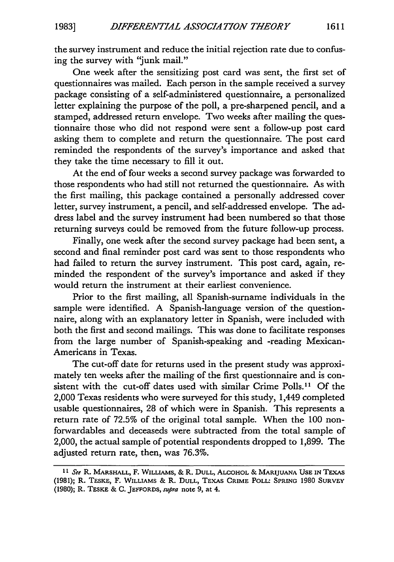the survey instrument and reduce the initial rejection rate due to confusing the survey with "junk mail."

One week after the sensitizing post card was sent, the first set of questionnaires was mailed. Each person in the sample received a survey package consisting of a self-administered questionnaire, a personalized letter explaining the purpose of the poll, a pre-sharpened pencil, and a stamped, addressed return envelope. Two weeks after mailing the questionnaire those who did not respond were sent a follow-up post card asking them to complete and return the questionnaire. The post card reminded the respondents of the survey's importance and asked that they take the time necessary to fill it out.

At the end of four weeks a second survey package was forwarded to those respondents who had still not returned the questionnaire. As with the first mailing, this package contained a personally addressed cover letter, survey instrument, a pencil, and self-addressed envelope. The address label and the survey instrument had been numbered so that those returning surveys could be removed from the future follow-up process.

Finally, one week after the second survey package had been sent, a second and final reminder post card was sent to those respondents who had failed to return the survey instrument. This post card, again, reminded the respondent of the survey's importance and asked if they would return the instrument at their earliest convenience.

Prior to the first mailing, all Spanish-surname individuals in the sample were identified. A Spanish-language version of the questionnaire, along with an explanatory letter in Spanish, were included with both the first and second mailings. This was done to facilitate responses from the large number of Spanish-speaking and -reading Mexican-Americans in Texas.

The cut-off date for returns used in the present study was approximately ten weeks after the mailing of the first questionnaire and is consistent with the cut-off dates used with similar Crime Polls.<sup>11</sup> Of the 2,000 Texas residents who were surveyed for this study, 1,449 completed usable questionnaires, 28 of which were in Spanish. This represents a return rate of 72.5% of the original total sample. When the 100 nonforwardables and deceaseds were subtracted from the total sample of 2,000, the actual sample of potential respondents dropped to 1,899. The adjusted return rate, then, was 76.3%.

*<sup>11</sup>*See R. MARSHALL, F. WILLIAMS, **&** R. **DULL, ALCOHOL & MARIJUANA USE** IN **TEXAS** (1981); R. TESKE, F. WILLIAMS & R. **DULL, TEXAS** CRIME POLL: **SPRING** 1980 **SURVEY** (1980); R. **TESKE** & **C.** JEFFORDS, *Supra* **note 9,** at 4.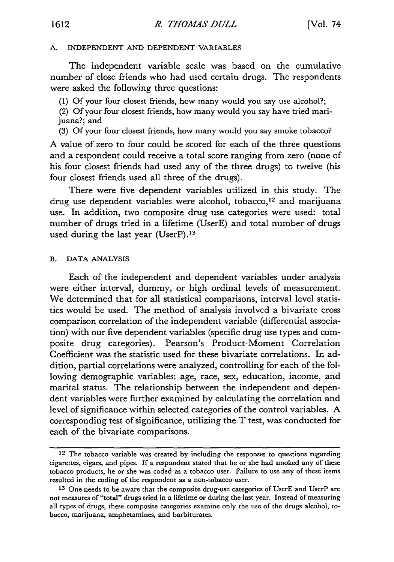#### A. INDEPENDENT AND DEPENDENT VARIABLES

The independent variable scale was based on the cumulative number of close friends who had used certain drugs. The respondents were asked the following three questions:

(1) Of your four closest friends, how many would you say use alcohol?;

(2) Of your four closest friends, how many would you say have tried marijuana?; and

(3) Of your four closest friends, how many would you say smoke tobacco?

A value of zero to four could be scored for each of the three questions and a respondent could receive a total score ranging from zero (none of his four closest friends had used any of the three drugs) to twelve (his four closest friends used all three of the drugs).

There were five dependent variables utilized in this study. The drug use dependent variables were alcohol, tobacco,<sup>12</sup> and marijuana use. In addition, two composite drug use categories were used: total number of drugs tried in a lifetime (UserE) and total number of drugs used during the last year (UserP).<sup>13</sup>

#### B. DATA ANALYSIS

Each of the independent and dependent variables under analysis were either interval, dummy, or high ordinal levels of measurement. We determined that for all statistical comparisons, interval level statistics would be used. The method of analysis involved a bivariate cross comparison correlation of the independent variable (differential association) with our five dependent variables (specific drug use types and composite drug categories). Pearson's Product-Moment Correlation Coefficient was the statistic used for these bivariate correlations. In addition, partial correlations were analyzed, controlling for each of the following demographic variables: age, race, sex, education, income, and marital status. The relationship between the independent and dependent variables were further examined by calculating the correlation and level of significance within selected categories of the control variables. A corresponding test of significance, utilizing the T test, was conducted for each of the bivariate comparisons.

**<sup>12</sup>**The tobacco variable was created **by** including the responses to questions regarding cigarettes, cigars, and pipes. **If** a respondent stated that he or she had smoked any of these tobacco products, he or she was coded as a tobacco user. Failure to use any of these items resulted in the coding of the respondent as a non-tobacco user.

**<sup>13</sup>**One needs to be aware that the composite drug-use categories of UserE and UserP are not measures of "total" drugs tried in a lifetime or during the last year. Instead of measuring all types of drugs, these composite categories examine only the use of the drugs alcohol, tobacco, marijuana, amphetamines, and barbiturates.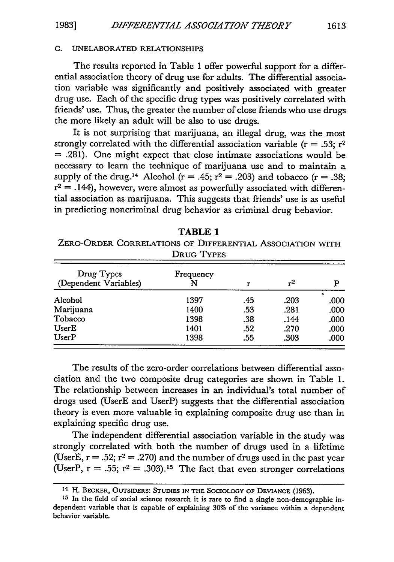#### **C. UNELABORATED RELATIONSHIPS**

The results reported in Table 1 offer powerful support for a differential association theory of drug use for adults. The differential association variable was significantly and positively associated with greater drug use. Each of the specific drug types was positively correlated with friends' use. Thus, the greater the number of close friends who use drugs the more likely an adult will be also to use drugs.

It is not surprising that marijuana, an illegal drug, was the most strongly correlated with the differential association variable  $(r = .53; r^2)$ **=** .281). One might expect that close intimate associations would be necessary to learn the technique of marijuana use and to maintain a supply of the drug.<sup>14</sup> Alcohol ( $r = .45$ ;  $r^2 = .203$ ) and tobacco ( $r = .38$ ;  $r^2 = .144$ ), however, were almost as powerfully associated with differential association as marijuana. This suggests that friends' use is as useful in predicting noncriminal drug behavior as criminal drug behavior.

| DRUG TYPES                          |                |     |       |      |  |
|-------------------------------------|----------------|-----|-------|------|--|
| Drug Types<br>(Dependent Variables) | Frequency<br>N |     | $r^2$ | P    |  |
| Alcohol                             | 1397           | .45 | .203  | .000 |  |
| Marijuana                           | 1400           | .53 | .281  | .000 |  |
| Tobacco                             | 1398           | .38 | .144  | .000 |  |
| UserE                               | 1401           | .52 | .270  | .000 |  |
| UserP                               | 1398           | .55 | .303  | .000 |  |

**TABLE 1** ZERO-ORDER CORRELATIONS OF DIFFERENTIAL ASSOCIATION WITH

The results of the zero-order correlations between differential association and the two composite drug categories are shown in Table 1. The relationship between increases in an individual's total number of drugs used (UserE and UserP) suggests that the differential association theory is even more valuable in explaining composite drug use than in explaining specific drug use.

The independent differential association variable in the study was strongly correlated with both the number of drugs used in a lifetime (UserE,  $r = .52$ ;  $r^2 = .270$ ) and the number of drugs used in the past year (UserP,  $r = .55$ ;  $r^2 = .303$ ).<sup>15</sup> The fact that even stronger correlations

**<sup>14</sup> H. BECKER, OUTSIDERS: STUDIES IN** THE **SOCIOLOGY OF DEVIANCE (1963).**

**<sup>15</sup>** In the field of social science research **it** is rare to find a single non-demographic independent variable that is capable of explaining 30% of the variance within a dependent behavior variable.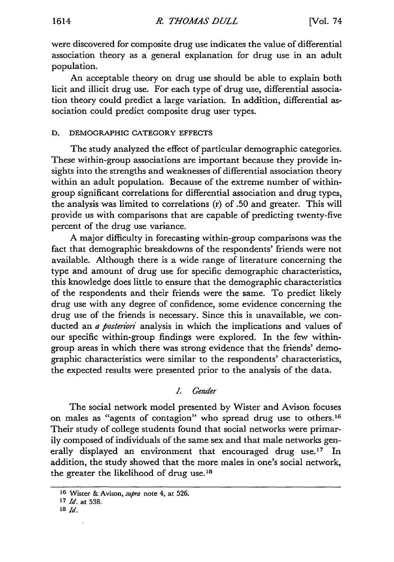were discovered for composite drug use indicates the value of differential association theory as a general explanation for drug use in an adult population.

An acceptable theory on drug use should be able to explain both licit and illicit drug use. For each type of drug use, differential association theory could predict a large variation. In addition, differential association could predict composite drug user types.

#### D. DEMOGRAPHIC CATEGORY EFFECTS

The study analyzed the effect of particular demographic categories. These within-group associations are important because they provide insights into the strengths and weaknesses of differential association theory within an adult population. Because of the extreme number of withingroup significant correlations for differential association and drug types, the analysis was limited to correlations (r) of .50 and greater. This will provide us with comparisons that are capable of predicting twenty-five percent of the drug use variance.

A major difficulty in forecasting within-group comparisons was the fact that demographic breakdowns of the respondents' friends were not available. Although there is a wide range of literature concerning the type and amount of drug use for specific demographic characteristics, this knowledge does little to ensure that the demographic characteristics of the respondents and their friends were the same. To predict likely drug use with any degree of confidence, some evidence concerning the drug use of the friends is necessary. Since this is unavailable, we conducted an *a poseeriori* analysis in which the implications and values of our specific within-group findings were explored. In the few withingroup areas in which there was strong evidence that the friends' demographic characteristics were similar to the respondents' characteristics, the expected results were presented prior to the analysis of the data.

## *1. Gender*

The social network model presented by Wister and Avison focuses on males as "agents of contagion" who spread drug use to others.<sup>16</sup> Their study of college students found that social networks were primarily composed of individuals of the same sex and that male networks generally displayed an environment that encouraged drug use.<sup>17</sup> In addition, the study showed that the more males in one's social network, the greater the likelihood of drug use.18

**<sup>16</sup>** Wister & Avison, supra note 4, at 526.

*<sup>17</sup>Id.* at 538.

**<sup>18</sup>** *Id.*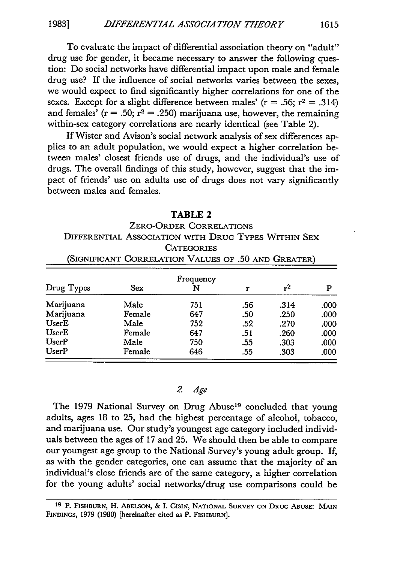To evaluate the impact of differential association theory on "adult" drug use for gender, it became necessary to answer the following question: Do social networks have differential impact upon male and female drug use? If the influence of social networks varies between the sexes, we would expect to find significantly higher correlations for one of the sexes. Except for a slight difference between males'  $(r = .56; r^2 = .314)$ and females' ( $r = .50$ ;  $r^2 = .250$ ) marijuana use, however, the remaining within-sex category correlations are nearly identical (see Table 2).

If Wister and Avison's social network analysis of sex differences applies to an adult population, we would expect a higher correlation between males' closest friends use of drugs, and the individual's use of drugs. The overall findings of this study, however, suggest that the impact of friends' use on adults use of drugs does not vary significantly between males and females.

| DIFFERENTIAL ASSOCIATION WITH DRUG TYPES WITHIN SEX<br><b>CATEGORIES</b><br>(SIGNIFICANT CORRELATION VALUES OF .50 AND GREATER)<br>Frequency<br>$r^2$<br>Drug Types<br>Sex<br>P<br>N<br>r |        |     |     |      |      |  |
|-------------------------------------------------------------------------------------------------------------------------------------------------------------------------------------------|--------|-----|-----|------|------|--|
|                                                                                                                                                                                           |        |     |     |      |      |  |
| Marijuana                                                                                                                                                                                 | Female | 647 | .50 | .250 | .000 |  |
| UserE                                                                                                                                                                                     | Male   | 752 | .52 | .270 | .000 |  |
| UserE                                                                                                                                                                                     | Female | 647 | .51 | .260 | .000 |  |
| UserP                                                                                                                                                                                     | Male   | 750 | .55 | .303 | .000 |  |
| UserP                                                                                                                                                                                     | Female | 646 | .55 | .303 | .000 |  |

# **TABLE 2** ZERO-ORDER CORRELATIONS

## *2 Age*

The 1979 National Survey on Drug Abuse<sup>19</sup> concluded that young adults, ages 18 to 25, had the highest percentage of alcohol, tobacco, and marijuana use. Our study's youngest age category included individuals between the ages of 17 and 25. We should then be able to compare our youngest age group to the National Survey's young adult group. If, as with the gender categories, one can assume that the majority of an individual's close friends are of the same category, a higher correlation for the young adults' social networks/drug use comparisons could be

**<sup>19</sup> p. FISHBURN,** H. **ABELSON, &** I. **CISIN,** NATIONAL SURVEY **ON** DRUG **ABUSE: MAIN FINDINGS, 1979 (1980)** [hereinafter cited as P. **FISHBURN].**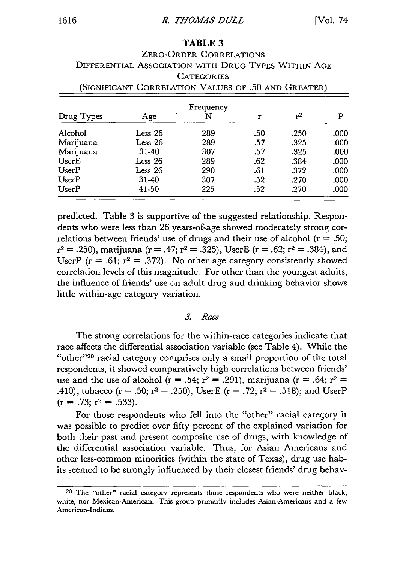|             | DIFFERENTIAL ASSOCIATION WITH DRUG TYPES WITHIN AGE | <b>ZERO-ORDER CORRELATIONS</b><br><b>CATEGORIES</b> |     |       |      |
|-------------|-----------------------------------------------------|-----------------------------------------------------|-----|-------|------|
|             | (SIGNIFICANT CORRELATION VALUES OF .50 AND GREATER) |                                                     |     |       |      |
| Frequency   |                                                     |                                                     |     |       |      |
| Drug Types  | Age                                                 | N                                                   | r   | $r^2$ | P    |
| Alcohol     | Less 26                                             | 289                                                 | .50 | .250  | .000 |
| Marijuana   | Less $26$                                           | 289                                                 | .57 | .325  | .000 |
| Marijuana   | 31-40                                               | 307                                                 | .57 | .325  | .000 |
| $\rm UserE$ | Less 26                                             | 289                                                 | .62 | .384  | .000 |
| UserP       | Less 26                                             | 290                                                 | .61 | .372  | .000 |
| UserP       | 31-40                                               | 307                                                 | .52 | .270  | .000 |
| UserP       | 41-50                                               | 225                                                 | .52 | .270  | .000 |

# **TABLE 3**

predicted. Table 3 is supportive of the suggested relationship. Respondents who were less than 26 years-of-age showed moderately strong correlations between friends' use of drugs and their use of alcohol ( $r = .50$ ;  $r^2 = .250$ ), marijuana (r = .47; r<sup>2</sup> = .325), UserE (r = .62; r<sup>2</sup> = .384), and UserP  $(r = .61; r^2 = .372)$ . No other age category consistently showed correlation levels of this magnitude. For other than the youngest adults, the influence of friends' use on adult drug and drinking behavior shows little within-age category variation.

#### *3. Race*

The strong correlations for the within-race categories indicate that race affects the differential association variable (see Table 4). While the "other"<sup>20</sup> racial category comprises only a small proportion of the total respondents, it showed comparatively high correlations between friends' use and the use of alcohol  $(r = .54; r^2 = .291)$ , marijuana  $(r = .64; r^2 = .76)$ .410), tobacco (r = .50; r<sup>2</sup> = .250), UserE (r = .72; r<sup>2</sup> = .518); and UserP  $(r = .73; r^2 = .533)$ .

For those respondents who fell into the "other" racial category it was possible to predict over fifty percent of the explained variation for both their past and present composite use of drugs, with knowledge of the differential association variable. Thus, for Asian Americans and other less-common minorities (within the state of Texas), drug use habits seemed to be strongly influenced by their closest friends' drug behav-

<sup>20</sup> The "other" racial category represents those respondents who were neither black, white, nor Mexican-American. This group primarily includes Asian-Americans and a few American-Indians.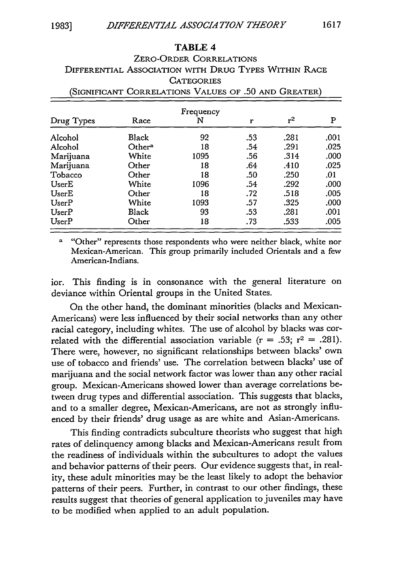#### **TABLE** 4

## ZERO-ORDER CORRELATIONS DIFFERENTIAL ASSOCIATION WITH DRUG TYPES WITHIN RACE **CATEGORIES** (SIGNIFICANT CORRELATIONS VALUES OF .50 AND GREATER)

| Frequency  |                    |      |     |       |      |  |
|------------|--------------------|------|-----|-------|------|--|
| Drug Types | Race               | N    | r   | $r^2$ | P    |  |
| Alcohol    | Black              | 92   | .53 | .281  | .001 |  |
| Alcohol    | Other <sup>a</sup> | 18   | .54 | .291  | .025 |  |
| Marijuana  | White              | 1095 | .56 | .314  | .000 |  |
| Marijuana  | Other              | 18   | .64 | .410  | .025 |  |
| Tobacco    | Other              | 18   | .50 | .250  | .01  |  |
| UserE      | White              | 1096 | .54 | .292  | .000 |  |
| UserE      | Other              | 18   | .72 | .518  | .005 |  |
| UserP      | White              | 1093 | .57 | .325  | .000 |  |
| UserP      | Black              | 93   | .53 | .281  | .001 |  |
| UserP      | Other              | 18   | .73 | .533  | .005 |  |

<sup>a</sup> "Other" represents those respondents who were neither black, white nor Mexican-American. This group primarily included Orientals and a few American-Indians.

ior. This finding is in consonance with the general literature on deviance within Oriental groups in the United States.

On the other hand, the dominant minorities (blacks and Mexican-Americans) were less influenced by their social networks than any other racial category, including whites. The use of alcohol by blacks was correlated with the differential association variable ( $r = .53$ ;  $r^2 = .281$ ). There were, however, no significant relationships between blacks' own use of tobacco and friends' use. The correlation between blacks' use of marijuana and the social network factor was lower than any other racial group. Mexican-Americans showed lower than average correlations between drug types and differential association. This suggests that blacks, and to a smaller degree, Mexican-Americans, are not as strongly influenced by their friends' drug usage as are white and Asian-Americans.

This finding contradicts subculture theorists who suggest that high rates of delinquency among blacks and Mexican-Americans result from the readiness of individuals within the subcultures to adopt the values and behavior patterns of their peers. Our evidence suggests that, in reality, these adult minorities may be the least likely to adopt the behavior patterns of their peers. Further, in contrast to our other findings, these results suggest that theories of general application to juveniles may have to be modified when applied to an adult population.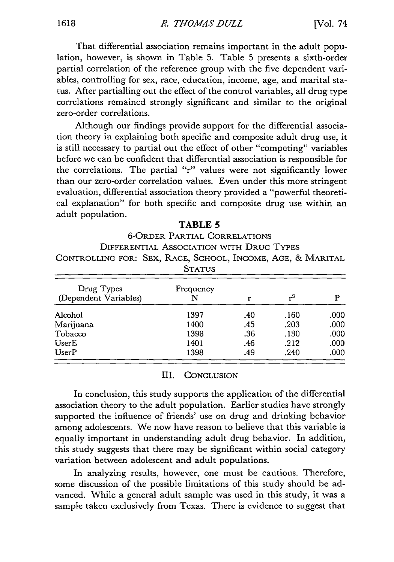That differential association remains important in the adult population, however, is shown in Table 5. Table 5 presents a sixth-order partial correlation of the reference group with the five dependent variables, controlling for sex, race, education, income, age, and marital status. After partialling out the effect of the control variables, all drug type correlations remained strongly significant and similar to the original zero-order correlations.

Although our findings provide support for the differential association theory in explaining both specific and composite adult drug use, it is still necessary to partial out the effect of other "competing" variables before we can be confident that differential association is responsible for the correlations. The partial "r" values were not significantly lower than our zero-order correlation values. Even under this more stringent evaluation, differential association theory provided a "powerful theoretical explanation" for both specific and composite drug use within an adult population. **TABLE 5**

| . ADLE J                                                   |
|------------------------------------------------------------|
| <b>6-ORDER PARTIAL CORRELATIONS</b>                        |
| DIFFERENTIAL ASSOCIATION WITH DRUG TYPES                   |
| CONTROLLING FOR: SEX, RACE, SCHOOL, INCOME, AGE, & MARITAL |
| <b>STATUS</b>                                              |
|                                                            |

| Drug Types<br>(Dependent Variables) | Frequency<br>N |     | $r^2$ | D    |
|-------------------------------------|----------------|-----|-------|------|
| Alcohol                             | 1397           | .40 | .160  | .000 |
| Marijuana                           | 1400           | .45 | .203  | .000 |
| Tobacco                             | 1398           | .36 | .130  | .000 |
| UserE                               | 1401           | .46 | .212  | .000 |
| UserP                               | 1398           | .49 | .240  | .000 |

#### III. CONCLUSION

In conclusion, this study supports the application of the differential association theory to the adult population. Earlier studies have strongly supported the influence of friends' use on drug and drinking behavior among adolescents. We now have reason to believe that this variable is equally important in understanding adult drug behavior. In addition, this study suggests that there may be significant within social category variation between adolescent and adult populations.

In analyzing results, however, one must be cautious. Therefore, some discussion of the possible limitations of this study should be advanced. While a general adult sample was used in this study, it was a sample taken exclusively from Texas. There is evidence to suggest that